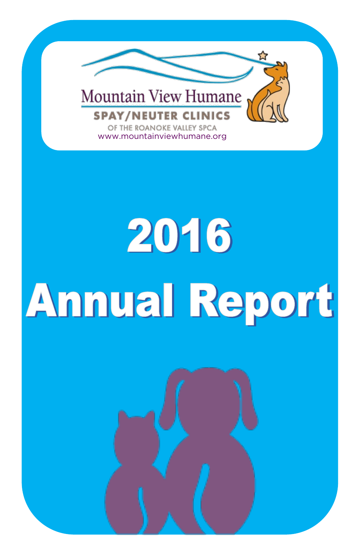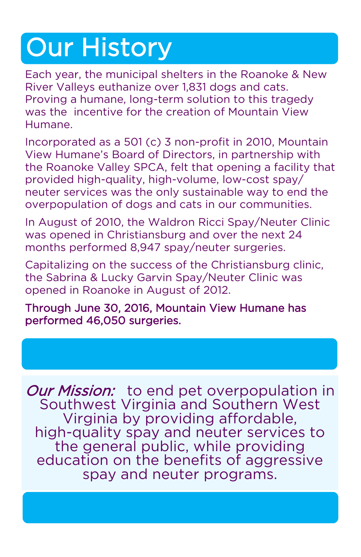# Our History

Each year, the municipal shelters in the Roanoke & New River Valleys euthanize over 1,831 dogs and cats. Proving a humane, long-term solution to this tragedy was the incentive for the creation of Mountain View Humane.

Incorporated as a 501 (c) 3 non-profit in 2010, Mountain View Humane's Board of Directors, in partnership with the Roanoke Valley SPCA, felt that opening a facility that provided high-quality, high-volume, low-cost spay/ neuter services was the only sustainable way to end the overpopulation of dogs and cats in our communities.

In August of 2010, the Waldron Ricci Spay/Neuter Clinic was opened in Christiansburg and over the next 24 months performed 8,947 spay/neuter surgeries.

Capitalizing on the success of the Christiansburg clinic, the Sabrina & Lucky Garvin Spay/Neuter Clinic was opened in Roanoke in August of 2012.

Through June 30, 2016, Mountain View Humane has performed 46,050 surgeries.

**Our Mission:** to end pet overpopulation in Southwest Virginia and Southern West Virginia by providing affordable, high-quality spay and neuter services to the general public, while providing education on the benefits of aggressive spay and neuter programs.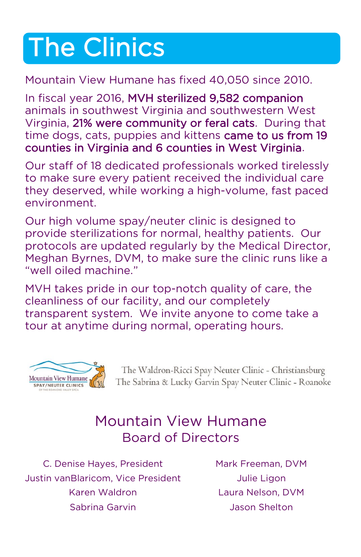# The Clinics

#### Mountain View Humane has fixed 40,050 since 2010.

In fiscal year 2016, MVH sterilized 9,582 companion animals in southwest Virginia and southwestern West Virginia, 21% were community or feral cats. During that time dogs, cats, puppies and kittens came to us from 19 counties in Virginia and 6 counties in West Virginia.

Our staff of 18 dedicated professionals worked tirelessly to make sure every patient received the individual care they deserved, while working a high-volume, fast paced environment.

Our high volume spay/neuter clinic is designed to provide sterilizations for normal, healthy patients. Our protocols are updated regularly by the Medical Director, Meghan Byrnes, DVM, to make sure the clinic runs like a "well oiled machine."

MVH takes pride in our top-notch quality of care, the cleanliness of our facility, and our completely transparent system. We invite anyone to come take a tour at anytime during normal, operating hours.



The Waldron-Ricci Spay Neuter Clinic - Christiansburg The Sabrina & Lucky Garvin Spay Neuter Clinic - Roanoke

#### Mountain View Humane Board of Directors

C. Denise Hayes, President Mark Freeman, DVM Justin vanBlaricom, Vice President Julie Ligon Karen Waldron Laura Nelson, DVM Sabrina Garvin **Markon Shelton** Jason Shelton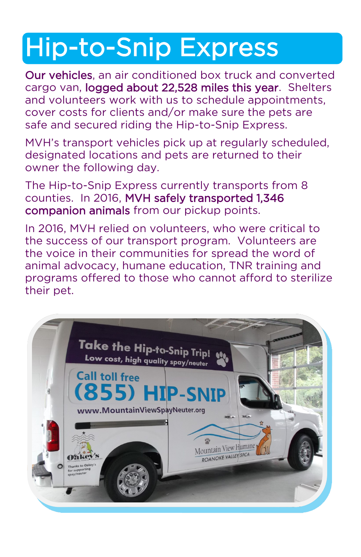# Hip-to-Snip Express

Our vehicles, an air conditioned box truck and converted cargo van, logged about 22,528 miles this year. Shelters and volunteers work with us to schedule appointments, cover costs for clients and/or make sure the pets are safe and secured riding the Hip-to-Snip Express.

MVH's transport vehicles pick up at regularly scheduled, designated locations and pets are returned to their owner the following day.

The Hip-to-Snip Express currently transports from 8 counties. In 2016, MVH safely transported 1,346 companion animals from our pickup points.

In 2016, MVH relied on volunteers, who were critical to the success of our transport program. Volunteers are the voice in their communities for spread the word of animal advocacy, humane education, TNR training and programs offered to those who cannot afford to sterilize their pet.

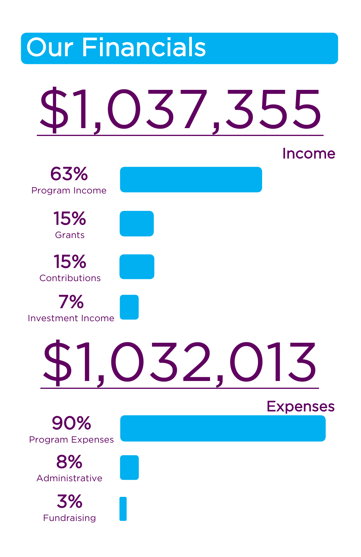### Our Financials \$1,037,355 Income \$1,032,013 Expenses 63% Program Income 15% **Grants** 15% **Contributions** 7% Investment Income 90% Program Expenses 8% Administrative 3% Fundraising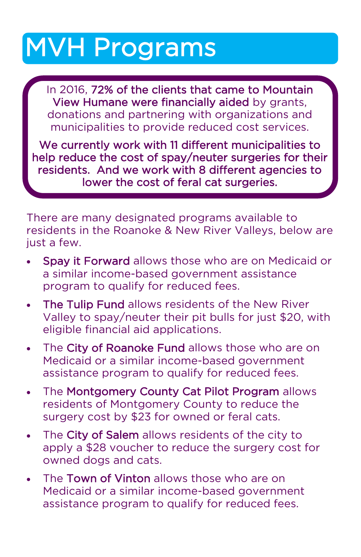# MVH Programs

In 2016, 72% of the clients that came to Mountain View Humane were financially aided by grants, donations and partnering with organizations and municipalities to provide reduced cost services.

We currently work with 11 different municipalities to help reduce the cost of spay/neuter surgeries for their residents. And we work with 8 different agencies to lower the cost of feral cat surgeries.

There are many designated programs available to residents in the Roanoke & New River Valleys, below are just a few.

- Spay it Forward allows those who are on Medicaid or a similar income-based government assistance program to qualify for reduced fees.
- The Tulip Fund allows residents of the New River Valley to spay/neuter their pit bulls for just \$20, with eligible financial aid applications.
- The City of Roanoke Fund allows those who are on Medicaid or a similar income-based government assistance program to qualify for reduced fees.
- . The Montgomery County Cat Pilot Program allows residents of Montgomery County to reduce the surgery cost by \$23 for owned or feral cats.
- The City of Salem allows residents of the city to apply a \$28 voucher to reduce the surgery cost for owned dogs and cats.
- The **Town of Vinton** allows those who are on Medicaid or a similar income-based government assistance program to qualify for reduced fees.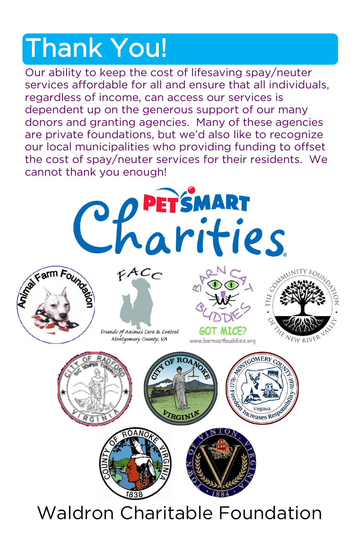# Thank You!

Our ability to keep the cost of lifesaving spay/neuter services affordable for all and ensure that all individuals, regardless of income, can access our services is dependent up on the generous support of our many donors and granting agencies. Many of these agencies are private foundations, but we'd also like to recognize our local municipalities who providing funding to offset the cost of spay/neuter services for their residents. We cannot thank you enough!